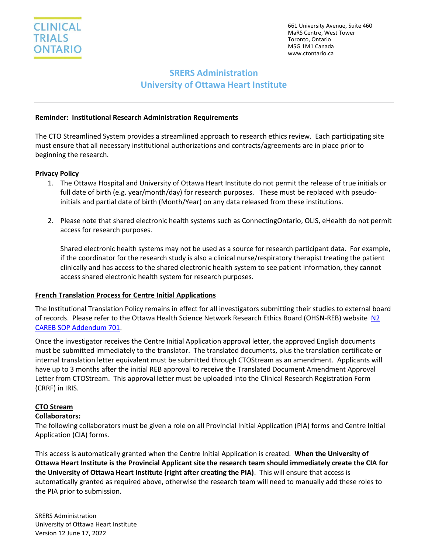661 University Avenue, Suite 460 MaRS Centre, West Tower Toronto, Ontario M5G 1M1 Canada www.ctontario.ca

# **SRERS Administration University of Ottawa Heart Institute**

## **Reminder: Institutional Research Administration Requirements**

The CTO Streamlined System provides a streamlined approach to research ethics review. Each participating site must ensure that all necessary institutional authorizations and contracts/agreements are in place prior to beginning the research.

## **Privacy Policy**

- 1. The Ottawa Hospital and University of Ottawa Heart Institute do not permit the release of true initials or full date of birth (e.g. year/month/day) for research purposes. These must be replaced with pseudoinitials and partial date of birth (Month/Year) on any data released from these institutions.
- 2. Please note that shared electronic health systems such as ConnectingOntario, OLIS, eHealth do not permit access for research purposes.

Shared electronic health systems may not be used as a source for research participant data. For example, if the coordinator for the research study is also a clinical nurse/respiratory therapist treating the patient clinically and has access to the shared electronic health system to see patient information, they cannot access shared electronic health system for research purposes.

## **French Translation Process for Centre Initial Applications**

The Institutional Translation Policy remains in effect for all investigators submitting their studies to external board of records. Please refer to the Ottawa Health Science Network Research Ethics Board (OHSN-REB) website [N2](http://www.ohri.ca/ohsn-reb/SOPs/701%20SOP%20Addendum,%20May%2019,%202016%20(2).pdf)  [CAREB SOP Addendum 701.](http://www.ohri.ca/ohsn-reb/SOPs/701%20SOP%20Addendum,%20May%2019,%202016%20(2).pdf)

Once the investigator receives the Centre Initial Application approval letter, the approved English documents must be submitted immediately to the translator. The translated documents, plus the translation certificate or internal translation letter equivalent must be submitted through CTOStream as an amendment. Applicants will have up to 3 months after the initial REB approval to receive the Translated Document Amendment Approval Letter from CTOStream. This approval letter must be uploaded into the Clinical Research Registration Form (CRRF) in IRIS.

## **CTO Stream**

## **Collaborators:**

The following collaborators must be given a role on all Provincial Initial Application (PIA) forms and Centre Initial Application (CIA) forms.

This access is automatically granted when the Centre Initial Application is created. **When the University of Ottawa Heart Institute is the Provincial Applicant site the research team should immediately create the CIA for the University of Ottawa Heart Institute (right after creating the PIA)**. This will ensure that access is automatically granted as required above, otherwise the research team will need to manually add these roles to the PIA prior to submission.

SRERS Administration University of Ottawa Heart Institute Version 12 June 17, 2022